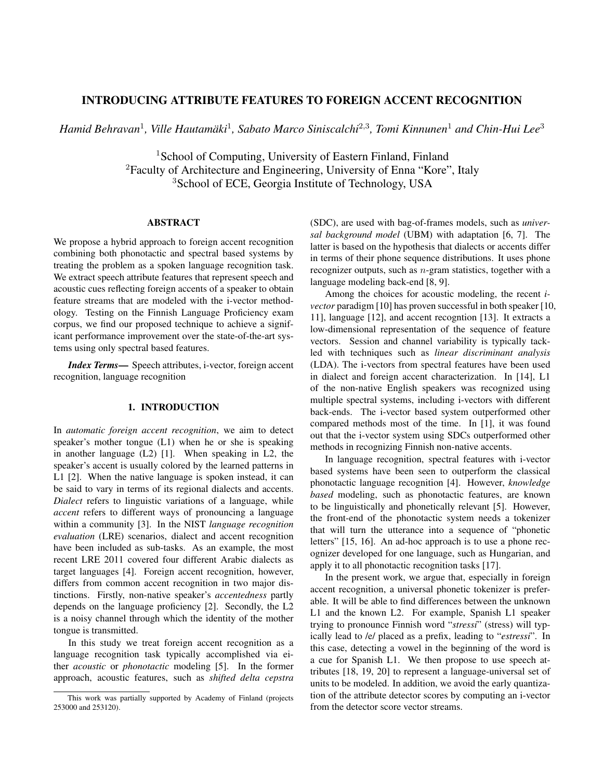# INTRODUCING ATTRIBUTE FEATURES TO FOREIGN ACCENT RECOGNITION

*Hamid Behravan*<sup>1</sup> *, Ville Hautamaki ¨* 1 *, Sabato Marco Siniscalchi*<sup>2</sup>,<sup>3</sup> *, Tomi Kinnunen*<sup>1</sup> *and Chin-Hui Lee*<sup>3</sup>

<sup>1</sup>School of Computing, University of Eastern Finland, Finland <sup>2</sup>Faculty of Architecture and Engineering, University of Enna "Kore", Italy <sup>3</sup>School of ECE, Georgia Institute of Technology, USA

# ABSTRACT

We propose a hybrid approach to foreign accent recognition combining both phonotactic and spectral based systems by treating the problem as a spoken language recognition task. We extract speech attribute features that represent speech and acoustic cues reflecting foreign accents of a speaker to obtain feature streams that are modeled with the i-vector methodology. Testing on the Finnish Language Proficiency exam corpus, we find our proposed technique to achieve a significant performance improvement over the state-of-the-art systems using only spectral based features.

*Index Terms*— Speech attributes, i-vector, foreign accent recognition, language recognition

# 1. INTRODUCTION

In *automatic foreign accent recognition*, we aim to detect speaker's mother tongue (L1) when he or she is speaking in another language (L2) [1]. When speaking in L2, the speaker's accent is usually colored by the learned patterns in L1 [2]. When the native language is spoken instead, it can be said to vary in terms of its regional dialects and accents. *Dialect* refers to linguistic variations of a language, while *accent* refers to different ways of pronouncing a language within a community [3]. In the NIST *language recognition evaluation* (LRE) scenarios, dialect and accent recognition have been included as sub-tasks. As an example, the most recent LRE 2011 covered four different Arabic dialects as target languages [4]. Foreign accent recognition, however, differs from common accent recognition in two major distinctions. Firstly, non-native speaker's *accentedness* partly depends on the language proficiency [2]. Secondly, the L2 is a noisy channel through which the identity of the mother tongue is transmitted.

In this study we treat foreign accent recognition as a language recognition task typically accomplished via either *acoustic* or *phonotactic* modeling [5]. In the former approach, acoustic features, such as *shifted delta cepstra* (SDC), are used with bag-of-frames models, such as *universal background model* (UBM) with adaptation [6, 7]. The latter is based on the hypothesis that dialects or accents differ in terms of their phone sequence distributions. It uses phone recognizer outputs, such as n-gram statistics, together with a language modeling back-end [8, 9].

Among the choices for acoustic modeling, the recent *ivector* paradigm [10] has proven successful in both speaker [10, 11], language [12], and accent recogntion [13]. It extracts a low-dimensional representation of the sequence of feature vectors. Session and channel variability is typically tackled with techniques such as *linear discriminant analysis* (LDA). The i-vectors from spectral features have been used in dialect and foreign accent characterization. In [14], L1 of the non-native English speakers was recognized using multiple spectral systems, including i-vectors with different back-ends. The i-vector based system outperformed other compared methods most of the time. In [1], it was found out that the i-vector system using SDCs outperformed other methods in recognizing Finnish non-native accents.

In language recognition, spectral features with i-vector based systems have been seen to outperform the classical phonotactic language recognition [4]. However, *knowledge based* modeling, such as phonotactic features, are known to be linguistically and phonetically relevant [5]. However, the front-end of the phonotactic system needs a tokenizer that will turn the utterance into a sequence of "phonetic letters" [15, 16]. An ad-hoc approach is to use a phone recognizer developed for one language, such as Hungarian, and apply it to all phonotactic recognition tasks [17].

In the present work, we argue that, especially in foreign accent recognition, a universal phonetic tokenizer is preferable. It will be able to find differences between the unknown L1 and the known L2. For example, Spanish L1 speaker trying to pronounce Finnish word "*stressi*" (stress) will typically lead to /e/ placed as a prefix, leading to "*estressi*". In this case, detecting a vowel in the beginning of the word is a cue for Spanish L1. We then propose to use speech attributes [18, 19, 20] to represent a language-universal set of units to be modeled. In addition, we avoid the early quantization of the attribute detector scores by computing an i-vector from the detector score vector streams.

This work was partially supported by Academy of Finland (projects 253000 and 253120).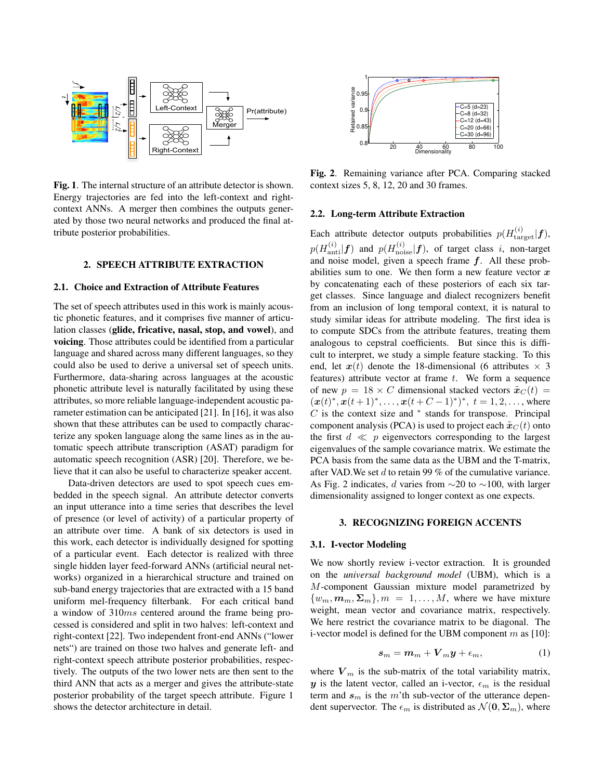

Fig. 1. The internal structure of an attribute detector is shown. Energy trajectories are fed into the left-context and rightcontext ANNs. A merger then combines the outputs generated by those two neural networks and produced the final attribute posterior probabilities.

# 2. SPEECH ATTRIBUTE EXTRACTION

## 2.1. Choice and Extraction of Attribute Features

The set of speech attributes used in this work is mainly acoustic phonetic features, and it comprises five manner of articulation classes (glide, fricative, nasal, stop, and vowel), and voicing. Those attributes could be identified from a particular language and shared across many different languages, so they could also be used to derive a universal set of speech units. Furthermore, data-sharing across languages at the acoustic phonetic attribute level is naturally facilitated by using these attributes, so more reliable language-independent acoustic parameter estimation can be anticipated [21]. In [16], it was also shown that these attributes can be used to compactly characterize any spoken language along the same lines as in the automatic speech attribute transcription (ASAT) paradigm for automatic speech recognition (ASR) [20]. Therefore, we believe that it can also be useful to characterize speaker accent.

Data-driven detectors are used to spot speech cues embedded in the speech signal. An attribute detector converts an input utterance into a time series that describes the level of presence (or level of activity) of a particular property of an attribute over time. A bank of six detectors is used in this work, each detector is individually designed for spotting of a particular event. Each detector is realized with three single hidden layer feed-forward ANNs (artificial neural networks) organized in a hierarchical structure and trained on sub-band energy trajectories that are extracted with a 15 band uniform mel-frequency filterbank. For each critical band a window of 310ms centered around the frame being processed is considered and split in two halves: left-context and right-context [22]. Two independent front-end ANNs ("lower nets") are trained on those two halves and generate left- and right-context speech attribute posterior probabilities, respectively. The outputs of the two lower nets are then sent to the third ANN that acts as a merger and gives the attribute-state posterior probability of the target speech attribute. Figure 1



Fig. 2. Remaining variance after PCA. Comparing stacked context sizes 5, 8, 12, 20 and 30 frames.

## 2.2. Long-term Attribute Extraction

**Fig. 1.** The interest original interest of the detector architecture in detector architecture in detector and the detector and the detector and the detector and the detector and the detector architecture interest of the Each attribute detector outputs probabilities  $p(H_{\text{target}}^{(i)}|\boldsymbol{f})$ ,  $p(H_{\rm anti}^{(i)}|\boldsymbol{f})$  and  $p(H_{\rm noise}^{(i)}|\boldsymbol{f}),$  of target class i, non-target and noise model, given a speech frame  $f$ . All these probabilities sum to one. We then form a new feature vector  $x$ by concatenating each of these posteriors of each six target classes. Since language and dialect recognizers benefit from an inclusion of long temporal context, it is natural to study similar ideas for attribute modeling. The first idea is to compute SDCs from the attribute features, treating them analogous to cepstral coefficients. But since this is difficult to interpret, we study a simple feature stacking. To this end, let  $x(t)$  denote the 18-dimensional (6 attributes  $\times$  3 features) attribute vector at frame  $t$ . We form a sequence of new  $p = 18 \times C$  dimensional stacked vectors  $\tilde{\boldsymbol{x}}_C(t)$  =  $(\mathbf{x}(t)^*, \mathbf{x}(t+1)^*, \dots, \mathbf{x}(t+C-1)^*)^*, t = 1, 2, \dots$ , where  $C$  is the context size and  $*$  stands for transpose. Principal component analysis (PCA) is used to project each  $\tilde{\boldsymbol{x}}_C(t)$  onto the first  $d \ll p$  eigenvectors corresponding to the largest eigenvalues of the sample covariance matrix. We estimate the PCA basis from the same data as the UBM and the T-matrix, after VAD. We set  $d$  to retain 99 % of the cumulative variance. As Fig. 2 indicates, d varies from  $\sim$ 20 to  $\sim$ 100, with larger dimensionality assigned to longer context as one expects.

### 3. RECOGNIZING FOREIGN ACCENTS

# 3.1. I-vector Modeling

We now shortly review i-vector extraction. It is grounded on the *universal background model* (UBM), which is a M-component Gaussian mixture model parametrized by  ${w_m, m_m, \Sigma_m}, m = 1, \ldots, M$ , where we have mixture weight, mean vector and covariance matrix, respectively. We here restrict the covariance matrix to be diagonal. The i-vector model is defined for the UBM component  $m$  as [10]:

$$
s_m = m_m + V_m y + \epsilon_m, \qquad (1)
$$

where  $V_m$  is the sub-matrix of the total variability matrix, y is the latent vector, called an i-vector,  $\epsilon_m$  is the residual term and  $s_m$  is the m'th sub-vector of the utterance dependent supervector. The  $\epsilon_m$  is distributed as  $\mathcal{N}(\mathbf{0}, \mathbf{\Sigma}_m)$ , where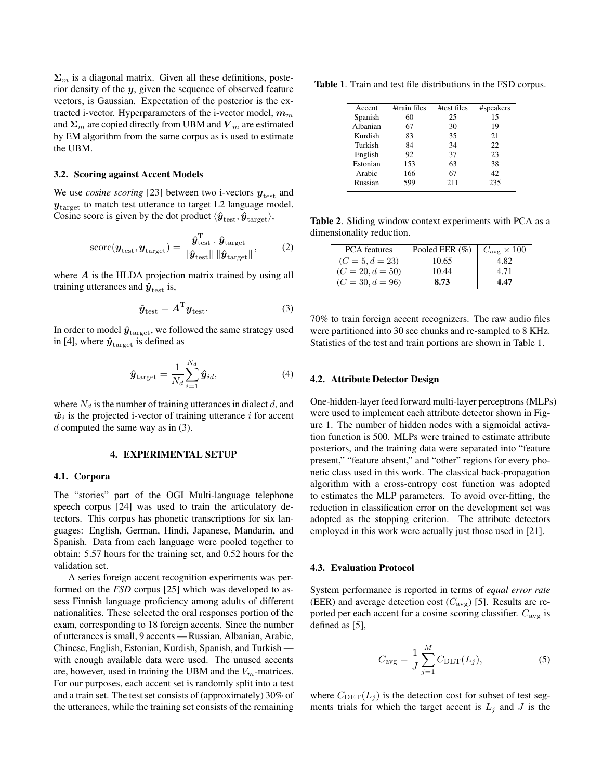$\Sigma_m$  is a diagonal matrix. Given all these definitions, posterior density of the  $y$ , given the sequence of observed feature vectors, is Gaussian. Expectation of the posterior is the extracted i-vector. Hyperparameters of the i-vector model,  $m_m$ and  $\Sigma_m$  are copied directly from UBM and  $V_m$  are estimated by EM algorithm from the same corpus as is used to estimate the UBM.

## 3.2. Scoring against Accent Models

We use *cosine scoring* [23] between two i-vectors  $y_{\text{test}}$  and  $y_{\text{target}}$  to match test utterance to target L2 language model. Cosine score is given by the dot product  $\langle \hat{\bm{y}}_{\text{test}}, \hat{\bm{y}}_{\text{target}} \rangle$ ,

score(
$$
\mathbf{y}_{\text{test}}, \mathbf{y}_{\text{target}})
$$
) =  $\frac{\hat{\mathbf{y}}_{\text{test}}^{\text{T}} \cdot \hat{\mathbf{y}}_{\text{target}}}{\|\hat{\mathbf{y}}_{\text{test}}\| \|\hat{\mathbf{y}}_{\text{target}}\|}$ , (2)

where  $A$  is the HLDA projection matrix trained by using all training utterances and  $\hat{y}_{\text{test}}$  is,

$$
\hat{\boldsymbol{y}}_{\text{test}} = \boldsymbol{A}^{\text{T}} \boldsymbol{y}_{\text{test}}.
$$

In order to model  $\hat{y}_{\text{target}}$ , we followed the same strategy used in [4], where  $\hat{\mathbf{y}}_{\text{target}}$  is defined as

$$
\hat{\boldsymbol{y}}_{\text{target}} = \frac{1}{N_d} \sum_{i=1}^{N_d} \hat{\boldsymbol{y}}_{id},
$$
\n(4)

where  $N_d$  is the number of training utterances in dialect d, and  $\hat{w}_i$  is the projected i-vector of training utterance i for accent  $d$  computed the same way as in  $(3)$ .

## 4. EXPERIMENTAL SETUP

## 4.1. Corpora

The "stories" part of the OGI Multi-language telephone speech corpus [24] was used to train the articulatory detectors. This corpus has phonetic transcriptions for six languages: English, German, Hindi, Japanese, Mandarin, and Spanish. Data from each language were pooled together to obtain: 5.57 hours for the training set, and 0.52 hours for the validation set.

A series foreign accent recognition experiments was performed on the *FSD* corpus [25] which was developed to assess Finnish language proficiency among adults of different nationalities. These selected the oral responses portion of the exam, corresponding to 18 foreign accents. Since the number of utterances is small, 9 accents — Russian, Albanian, Arabic, Chinese, English, Estonian, Kurdish, Spanish, and Turkish with enough available data were used. The unused accents are, however, used in training the UBM and the  $V_m$ -matrices. For our purposes, each accent set is randomly split into a test and a train set. The test set consists of (approximately) 30% of the utterances, while the training set consists of the remaining

Table 1. Train and test file distributions in the FSD corpus.

| Accent   | #train files | #test files | #speakers |
|----------|--------------|-------------|-----------|
| Spanish  | 60           | 25          | 15        |
| Albanian | 67           | 30          | 19        |
| Kurdish  | 83           | 35          | 21        |
| Turkish  | 84           | 34          | 22        |
| English  | 92           | 37          | 23        |
| Estonian | 153          | 63          | 38        |
| Arabic   | 166          | 67          | 42        |
| Russian  | 599          | 211         | 235       |
|          |              |             |           |

Table 2. Sliding window context experiments with PCA as a dimensionality reduction.

| <b>PCA</b> features | Pooled EER $(\% )$ | $C_{\text{ave}} \times 100$ |
|---------------------|--------------------|-----------------------------|
| $(C = 5, d = 23)$   | 10.65              | 4.82                        |
| $(C = 20, d = 50)$  | 10.44              | 4.71                        |
| $(C = 30, d = 96)$  | 8.73               | 4.47                        |

70% to train foreign accent recognizers. The raw audio files were partitioned into 30 sec chunks and re-sampled to 8 KHz. Statistics of the test and train portions are shown in Table 1.

# 4.2. Attribute Detector Design

One-hidden-layer feed forward multi-layer perceptrons (MLPs) were used to implement each attribute detector shown in Figure 1. The number of hidden nodes with a sigmoidal activation function is 500. MLPs were trained to estimate attribute posteriors, and the training data were separated into "feature present," "feature absent," and "other" regions for every phonetic class used in this work. The classical back-propagation algorithm with a cross-entropy cost function was adopted to estimates the MLP parameters. To avoid over-fitting, the reduction in classification error on the development set was adopted as the stopping criterion. The attribute detectors employed in this work were actually just those used in [21].

#### 4.3. Evaluation Protocol

System performance is reported in terms of *equal error rate* (EER) and average detection cost  $(C_{\text{avg}})$  [5]. Results are reported per each accent for a cosine scoring classifier.  $C_{\text{avg}}$  is defined as [5],

$$
C_{\text{avg}} = \frac{1}{J} \sum_{j=1}^{M} C_{\text{DET}}(L_j),
$$
 (5)

where  $C_{\text{DET}}(L_i)$  is the detection cost for subset of test segments trials for which the target accent is  $L_j$  and  $J$  is the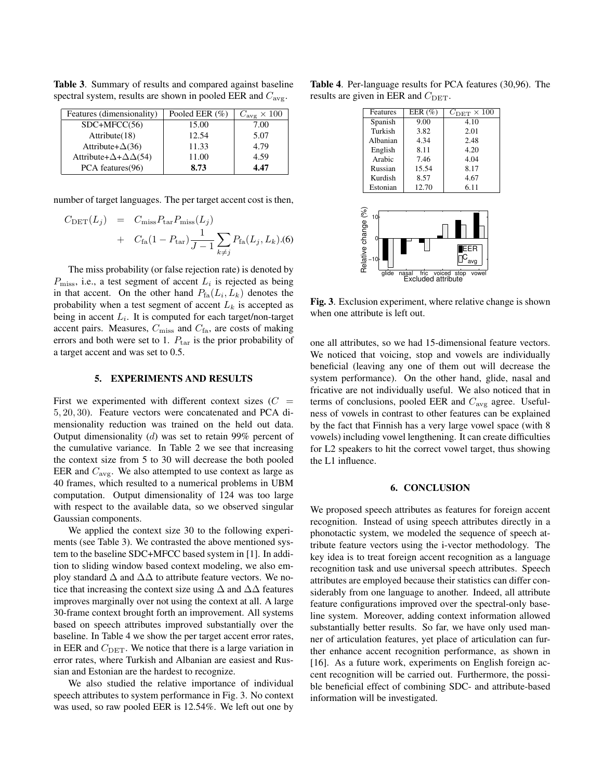Table 3. Summary of results and compared against baseline spectral system, results are shown in pooled EER and  $C_{\text{avg}}$ .

| Features (dimensionality)                    | Pooled EER $(\%)$ | $C_{\text{avg}} \times 100$ |
|----------------------------------------------|-------------------|-----------------------------|
| $SDC+MFCC(56)$                               | 15.00             | 7.00                        |
| Attribute(18)                                | 12.54             | 5.07                        |
| Attribute+ $\Delta$ (36)                     | 11.33             | 4.79                        |
| Attribute+ $\Delta$ + $\Delta$ $\Delta$ (54) | 11.00             | 4.59                        |
| PCA features(96)                             | 8.73              | 4.47                        |

number of target languages. The per target accent cost is then,

$$
C_{\text{DET}}(L_j) = C_{\text{miss}} P_{\text{tar}} P_{\text{miss}}(L_j)
$$
  
+ 
$$
C_{\text{fa}} (1 - P_{\text{tar}}) \frac{1}{J - 1} \sum_{k \neq j} P_{\text{fa}}(L_j, L_k)
$$

The miss probability (or false rejection rate) is denoted by  $P_{\text{miss}}$ , i.e., a test segment of accent  $L_i$  is rejected as being in that accent. On the other hand  $P_{fa}(L_i, L_k)$  denotes the probability when a test segment of accent  $L_k$  is accepted as being in accent  $L_i$ . It is computed for each target/non-target accent pairs. Measures,  $C_{\text{miss}}$  and  $C_{\text{fa}}$ , are costs of making errors and both were set to 1.  $P_{\text{tar}}$  is the prior probability of a target accent and was set to 0.5.

#### 5. EXPERIMENTS AND RESULTS

First we experimented with different context sizes  $(C =$ 5, 20, 30). Feature vectors were concatenated and PCA dimensionality reduction was trained on the held out data. Output dimensionality (d) was set to retain 99% percent of the cumulative variance. In Table 2 we see that increasing the context size from 5 to 30 will decrease the both pooled EER and  $C_{\text{avg}}$ . We also attempted to use context as large as 40 frames, which resulted to a numerical problems in UBM computation. Output dimensionality of 124 was too large with respect to the available data, so we observed singular Gaussian components.

We applied the context size 30 to the following experiments (see Table 3). We contrasted the above mentioned system to the baseline SDC+MFCC based system in [1]. In addition to sliding window based context modeling, we also employ standard  $\Delta$  and  $\Delta\Delta$  to attribute feature vectors. We notice that increasing the context size using  $\Delta$  and  $\Delta\Delta$  features improves marginally over not using the context at all. A large 30-frame context brought forth an improvement. All systems based on speech attributes improved substantially over the baseline. In Table 4 we show the per target accent error rates, in EER and  $C_{\text{DET}}$ . We notice that there is a large variation in error rates, where Turkish and Albanian are easiest and Russian and Estonian are the hardest to recognize.

We also studied the relative importance of individual speech attributes to system performance in Fig. 3. No context was used, so raw pooled EER is 12.54%. We left out one by

Table 4. Per-language results for PCA features (30,96). The results are given in EER and  $C_{\text{DET}}$ .

| Features | EER $(\% )$ | $C_{\rm DET} \times 100$ |
|----------|-------------|--------------------------|
| Spanish  | 9.00        | 4.10                     |
| Turkish  | 3.82        | 2.01                     |
| Albanian | 4.34        | 2.48                     |
| English  | 8.11        | 4.20                     |
| Arabic   | 7.46        | 4.04                     |
| Russian  | 15.54       | 8.17                     |
| Kurdish  | 8.57        | 4.67                     |
| Estonian | 12.70       | 6.11                     |



Fig. 3. Exclusion experiment, where relative change is shown when one attribute is left out.

one all attributes, so we had 15-dimensional feature vectors. We noticed that voicing, stop and vowels are individually beneficial (leaving any one of them out will decrease the system performance). On the other hand, glide, nasal and fricative are not individually useful. We also noticed that in terms of conclusions, pooled EER and  $C_{\text{avg}}$  agree. Usefulness of vowels in contrast to other features can be explained by the fact that Finnish has a very large vowel space (with 8 vowels) including vowel lengthening. It can create difficulties for L2 speakers to hit the correct vowel target, thus showing the L1 influence.

# 6. CONCLUSION

We proposed speech attributes as features for foreign accent recognition. Instead of using speech attributes directly in a phonotactic system, we modeled the sequence of speech attribute feature vectors using the i-vector methodology. The key idea is to treat foreign accent recognition as a language recognition task and use universal speech attributes. Speech attributes are employed because their statistics can differ considerably from one language to another. Indeed, all attribute feature configurations improved over the spectral-only baseline system. Moreover, adding context information allowed substantially better results. So far, we have only used manner of articulation features, yet place of articulation can further enhance accent recognition performance, as shown in [16]. As a future work, experiments on English foreign accent recognition will be carried out. Furthermore, the possible beneficial effect of combining SDC- and attribute-based information will be investigated.